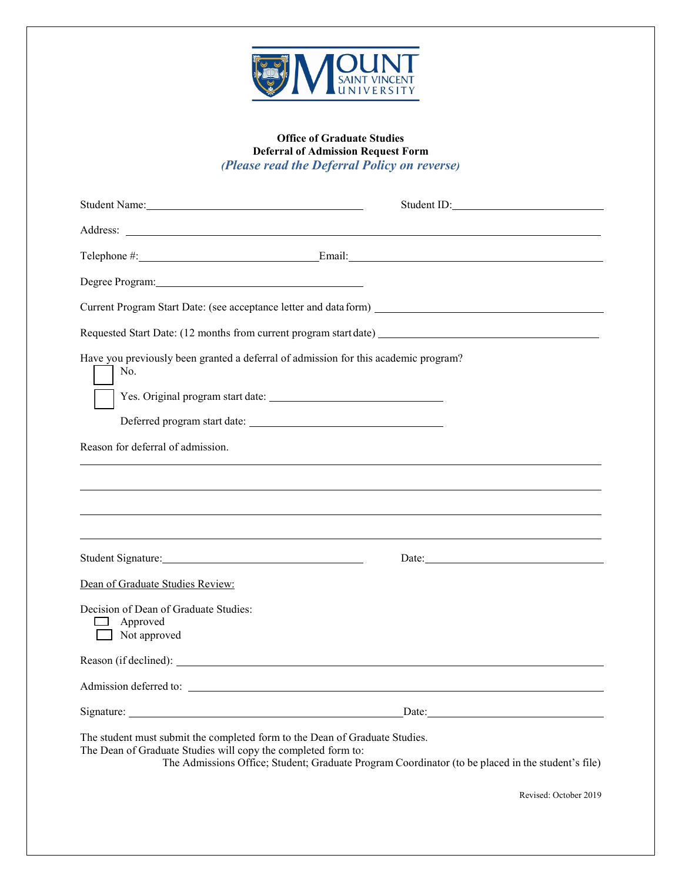

## **Office of Graduate Studies Deferral of Admission Request Form** *(Please read the Deferral Policy on reverse)*

|                                                                                                                                                                                                                                                   | Student ID: |
|---------------------------------------------------------------------------------------------------------------------------------------------------------------------------------------------------------------------------------------------------|-------------|
|                                                                                                                                                                                                                                                   |             |
| $\text{Telephone } \#$ : Email: Email: Email: Email: Email: Email: Email: Email: Email: Email: Email: Email: Email: Email: Email: Email: Email: Email: Email: Email: Email: Email: Email: Email: Email: Email: Email: Email: Email: Email:        |             |
|                                                                                                                                                                                                                                                   |             |
|                                                                                                                                                                                                                                                   |             |
| Requested Start Date: (12 months from current program start date) __________________________________                                                                                                                                              |             |
| Have you previously been granted a deferral of admission for this academic program?<br>No.                                                                                                                                                        |             |
| Reason for deferral of admission.                                                                                                                                                                                                                 |             |
|                                                                                                                                                                                                                                                   |             |
|                                                                                                                                                                                                                                                   |             |
| Dean of Graduate Studies Review:                                                                                                                                                                                                                  |             |
| Decision of Dean of Graduate Studies:<br>Approved<br>Not approved                                                                                                                                                                                 |             |
|                                                                                                                                                                                                                                                   |             |
|                                                                                                                                                                                                                                                   |             |
|                                                                                                                                                                                                                                                   | Date:       |
| The student must submit the completed form to the Dean of Graduate Studies.<br>The Dean of Graduate Studies will copy the completed form to:<br>The Admissions Office; Student; Graduate Program Coordinator (to be placed in the student's file) |             |

Revised: October 2019